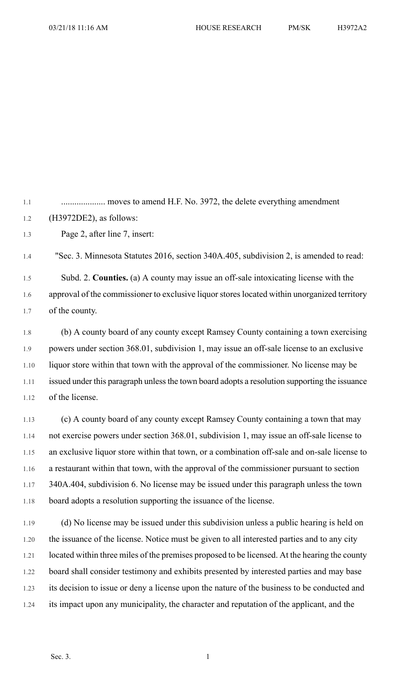1.1 .................... moves to amend H.F. No. 3972, the delete everything amendment 1.2 (H3972DE2), as follows:

1.3 Page 2, after line 7, insert:

1.4 "Sec. 3. Minnesota Statutes 2016, section 340A.405, subdivision 2, is amended to read: 1.5 Subd. 2. **Counties.** (a) A county may issue an off-sale intoxicating license with the 1.6 approval of the commissioner to exclusive liquor stores located within unorganized territory 1.7 of the county.

1.8 (b) A county board of any county except Ramsey County containing a town exercising 1.9 powers under section 368.01, subdivision 1, may issue an off-sale license to an exclusive 1.10 liquor store within that town with the approval of the commissioner. No license may be 1.11 issued under this paragraph unless the town board adopts a resolution supporting the issuance 1.12 of the license.

1.13 (c) A county board of any county except Ramsey County containing a town that may 1.14 not exercise powers under section 368.01, subdivision 1, may issue an off-sale license to 1.15 an exclusive liquor store within that town, or a combination off-sale and on-sale license to 1.16 a restaurant within that town, with the approval of the commissioner pursuant to section 1.17 340A.404, subdivision 6. No license may be issued under this paragraph unless the town 1.18 board adopts a resolution supporting the issuance of the license.

1.19 (d) No license may be issued under this subdivision unless a public hearing is held on 1.20 the issuance of the license. Notice must be given to all interested parties and to any city 1.21 located within three miles of the premises proposed to be licensed. At the hearing the county 1.22 board shall consider testimony and exhibits presented by interested parties and may base 1.23 its decision to issue or deny a license upon the nature of the business to be conducted and 1.24 its impact upon any municipality, the character and reputation of the applicant, and the